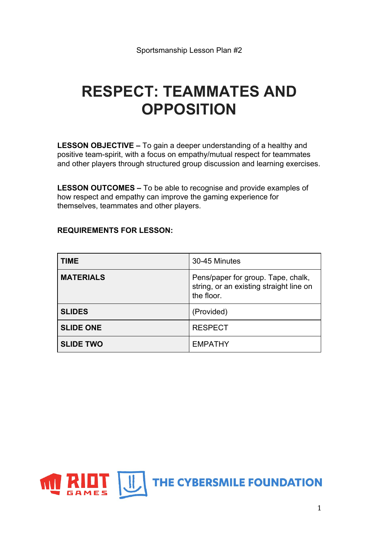# **RESPECT: TEAMMATES AND OPPOSITION**

**LESSON OBJECTIVE –** To gain a deeper understanding of a healthy and positive team-spirit, with a focus on empathy/mutual respect for teammates and other players through structured group discussion and learning exercises.

**LESSON OUTCOMES –** To be able to recognise and provide examples of how respect and empathy can improve the gaming experience for themselves, teammates and other players.

#### **REQUIREMENTS FOR LESSON:**

| <b>TIME</b>      | 30-45 Minutes                                                                               |
|------------------|---------------------------------------------------------------------------------------------|
| <b>MATERIALS</b> | Pens/paper for group. Tape, chalk,<br>string, or an existing straight line on<br>the floor. |
| <b>SLIDES</b>    | (Provided)                                                                                  |
| <b>SLIDE ONE</b> | <b>RESPECT</b>                                                                              |
| <b>SLIDE TWO</b> | <b>EMPATHY</b>                                                                              |

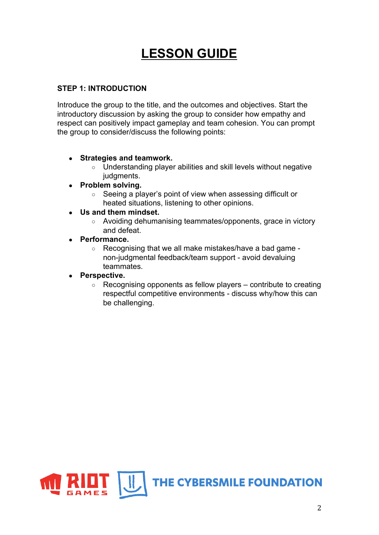# **LESSON GUIDE**

### **STEP 1: INTRODUCTION**

Introduce the group to the title, and the outcomes and objectives. Start the introductory discussion by asking the group to consider how empathy and respect can positively impact gameplay and team cohesion. You can prompt the group to consider/discuss the following points:

- **● Strategies and teamwork.**
	- Understanding player abilities and skill levels without negative judgments.
- **● Problem solving.**
	- Seeing a player's point of view when assessing difficult or heated situations, listening to other opinions.
- **● Us and them mindset.**
	- Avoiding dehumanising teammates/opponents, grace in victory and defeat.
- **● Performance.**
	- Recognising that we all make mistakes/have a bad game non-judgmental feedback/team support - avoid devaluing teammates.
- **● Perspective.**
	- $\circ$  Recognising opponents as fellow players contribute to creating respectful competitive environments - discuss why/how this can be challenging.

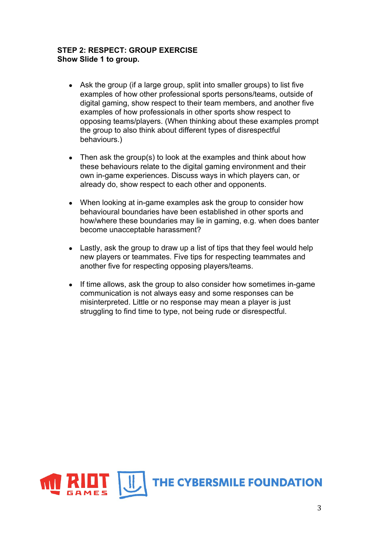#### **STEP 2: RESPECT: GROUP EXERCISE Show Slide 1 to group.**

- Ask the group (if a large group, split into smaller groups) to list five examples of how other professional sports persons/teams, outside of digital gaming, show respect to their team members, and another five examples of how professionals in other sports show respect to opposing teams/players. (When thinking about these examples prompt the group to also think about different types of disrespectful behaviours.)
- Then ask the group(s) to look at the examples and think about how these behaviours relate to the digital gaming environment and their own in-game experiences. Discuss ways in which players can, or already do, show respect to each other and opponents.
- When looking at in-game examples ask the group to consider how behavioural boundaries have been established in other sports and how/where these boundaries may lie in gaming, e.g. when does banter become unacceptable harassment?
- Lastly, ask the group to draw up a list of tips that they feel would help new players or teammates. Five tips for respecting teammates and another five for respecting opposing players/teams.
- If time allows, ask the group to also consider how sometimes in-game communication is not always easy and some responses can be misinterpreted. Little or no response may mean a player is just struggling to find time to type, not being rude or disrespectful.

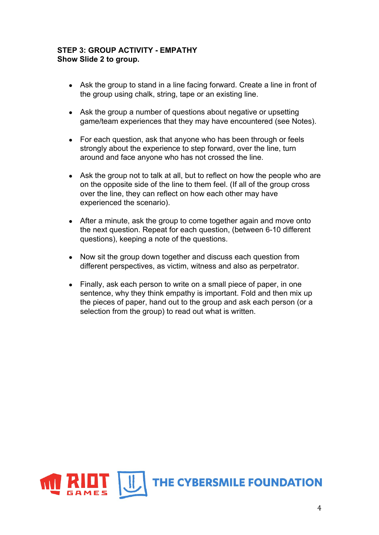#### **STEP 3: GROUP ACTIVITY - EMPATHY Show Slide 2 to group.**

- Ask the group to stand in a line facing forward. Create a line in front of the group using chalk, string, tape or an existing line.
- Ask the group a number of questions about negative or upsetting game/team experiences that they may have encountered (see Notes).
- For each question, ask that anyone who has been through or feels strongly about the experience to step forward, over the line, turn around and face anyone who has not crossed the line.
- Ask the group not to talk at all, but to reflect on how the people who are on the opposite side of the line to them feel. (If all of the group cross over the line, they can reflect on how each other may have experienced the scenario).
- After a minute, ask the group to come together again and move onto the next question. Repeat for each question, (between 6-10 different questions), keeping a note of the questions.
- Now sit the group down together and discuss each question from different perspectives, as victim, witness and also as perpetrator.
- Finally, ask each person to write on a small piece of paper, in one sentence, why they think empathy is important. Fold and then mix up the pieces of paper, hand out to the group and ask each person (or a selection from the group) to read out what is written.